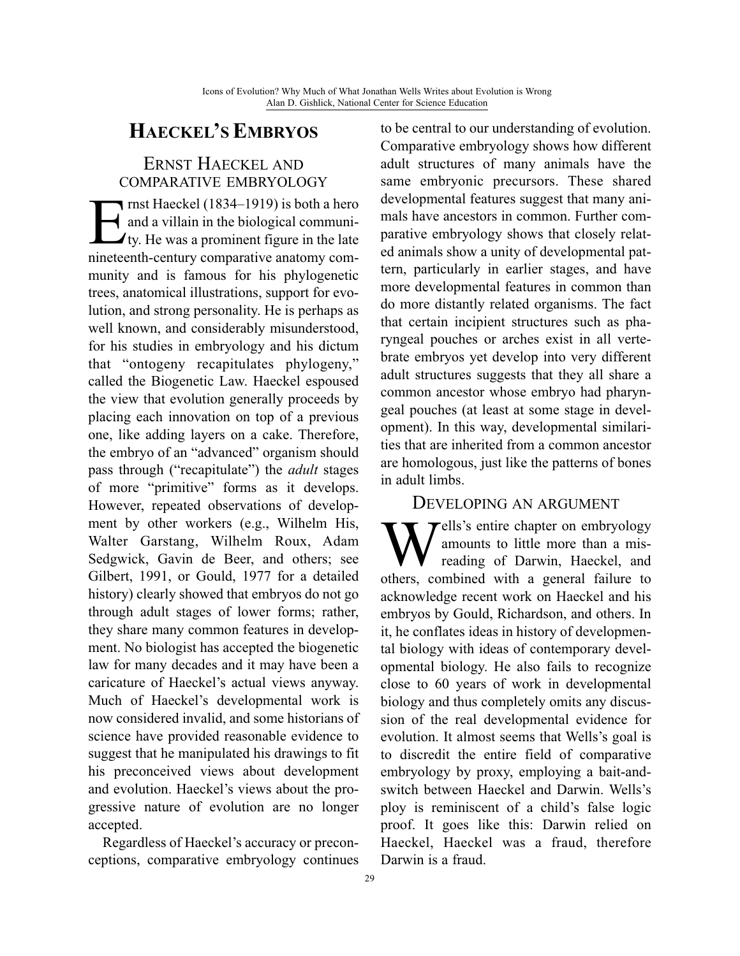# **HAECKEL'SEMBRYOS**

## ERNST HAECKEL AND COMPARATIVE EMBRYOLOGY

**Example 1834–1919)** is both a hero<br>and a villain in the biological communi-<br>ty. He was a prominent figure in the late and a villain in the biological community. He was a prominent figure in the late nineteenth-century comparative anatomy community and is famous for his phylogenetic trees, anatomical illustrations, support for evolution, and strong personality. He is perhaps as well known, and considerably misunderstood, for his studies in embryology and his dictum that "ontogeny recapitulates phylogeny," called the Biogenetic Law. Haeckel espoused the view that evolution generally proceeds by placing each innovation on top of a previous one, like adding layers on a cake. Therefore, the embryo of an "advanced" organism should pass through ("recapitulate") the *adult* stages of more "primitive" forms as it develops. However, repeated observations of development by other workers (e.g., Wilhelm His, Walter Garstang, Wilhelm Roux, Adam Sedgwick, Gavin de Beer, and others; see Gilbert, 1991, or Gould, 1977 for a detailed history) clearly showed that embryos do not go through adult stages of lower forms; rather, they share many common features in development. No biologist has accepted the biogenetic law for many decades and it may have been a caricature of Haeckel's actual views anyway. Much of Haeckel's developmental work is now considered invalid, and some historians of science have provided reasonable evidence to suggest that he manipulated his drawings to fit his preconceived views about development and evolution. Haeckel's views about the progressive nature of evolution are no longer accepted.

Regardless of Haeckel's accuracy or preconceptions, comparative embryology continues to be central to our understanding of evolution. Comparative embryology shows how different adult structures of many animals have the same embryonic precursors. These shared developmental features suggest that many animals have ancestors in common. Further comparative embryology shows that closely related animals show a unity of developmental pattern, particularly in earlier stages, and have more developmental features in common than do more distantly related organisms. The fact that certain incipient structures such as pharyngeal pouches or arches exist in all vertebrate embryos yet develop into very different adult structures suggests that they all share a common ancestor whose embryo had pharyngeal pouches (at least at some stage in development). In this way, developmental similarities that are inherited from a common ancestor are homologous, just like the patterns of bones in adult limbs.

#### DEVELOPING AN ARGUMENT

Wells's entire chapter on embryology<br>mounts to little more than a mis-<br>reading of Darwin, Haeckel, and<br>others combined with a general failure to amounts to little more than a misreading of Darwin, Haeckel, and others, combined with a general failure to acknowledge recent work on Haeckel and his embryos by Gould, Richardson, and others. In it, he conflates ideas in history of developmental biology with ideas of contemporary developmental biology. He also fails to recognize close to 60 years of work in developmental biology and thus completely omits any discussion of the real developmental evidence for evolution. It almost seems that Wells's goal is to discredit the entire field of comparative embryology by proxy, employing a bait-andswitch between Haeckel and Darwin. Wells's ploy is reminiscent of a child's false logic proof. It goes like this: Darwin relied on Haeckel, Haeckel was a fraud, therefore Darwin is a fraud.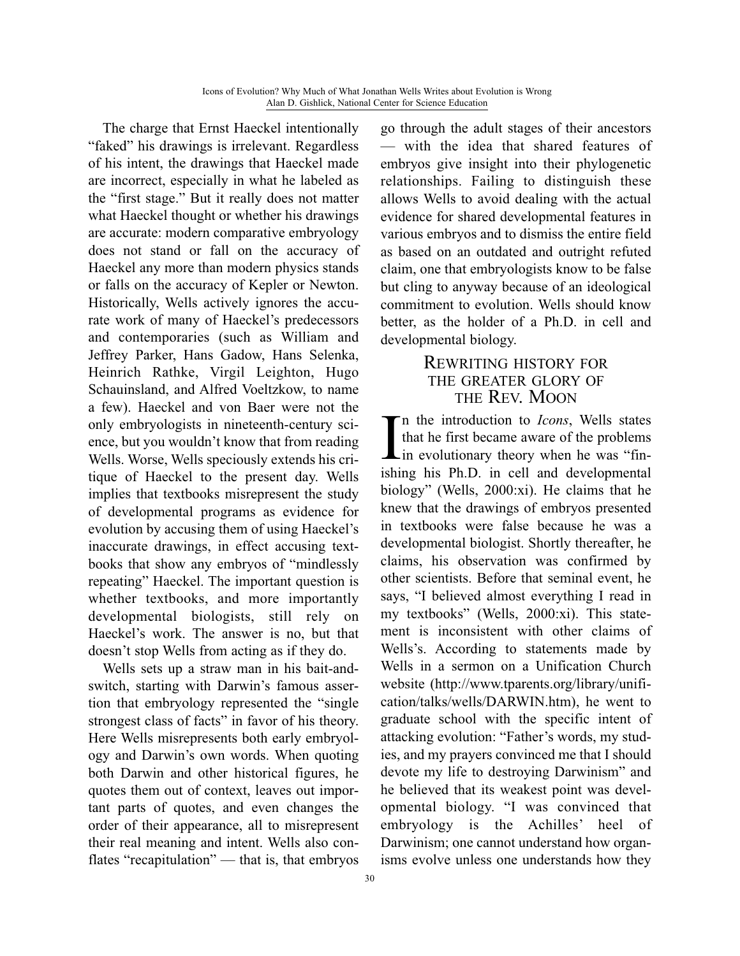The charge that Ernst Haeckel intentionally "faked" his drawings is irrelevant. Regardless of his intent, the drawings that Haeckel made are incorrect, especially in what he labeled as the "first stage." But it really does not matter what Haeckel thought or whether his drawings are accurate: modern comparative embryology does not stand or fall on the accuracy of Haeckel any more than modern physics stands or falls on the accuracy of Kepler or Newton. Historically, Wells actively ignores the accurate work of many of Haeckel's predecessors and contemporaries (such as William and Jeffrey Parker, Hans Gadow, Hans Selenka, Heinrich Rathke, Virgil Leighton, Hugo Schauinsland, and Alfred Voeltzkow, to name a few). Haeckel and von Baer were not the only embryologists in nineteenth-century science, but you wouldn't know that from reading Wells. Worse, Wells speciously extends his critique of Haeckel to the present day. Wells implies that textbooks misrepresent the study of developmental programs as evidence for evolution by accusing them of using Haeckel's inaccurate drawings, in effect accusing textbooks that show any embryos of "mindlessly repeating" Haeckel. The important question is whether textbooks, and more importantly developmental biologists, still rely on Haeckel's work. The answer is no, but that doesn't stop Wells from acting as if they do.

Wells sets up a straw man in his bait-andswitch, starting with Darwin's famous assertion that embryology represented the "single strongest class of facts" in favor of his theory. Here Wells misrepresents both early embryology and Darwin's own words. When quoting both Darwin and other historical figures, he quotes them out of context, leaves out important parts of quotes, and even changes the order of their appearance, all to misrepresent their real meaning and intent. Wells also conflates "recapitulation" — that is, that embryos go through the adult stages of their ancestors — with the idea that shared features of embryos give insight into their phylogenetic relationships. Failing to distinguish these allows Wells to avoid dealing with the actual evidence for shared developmental features in various embryos and to dismiss the entire field as based on an outdated and outright refuted claim, one that embryologists know to be false but cling to anyway because of an ideological commitment to evolution. Wells should know better, as the holder of a Ph.D. in cell and developmental biology.

### REWRITING HISTORY FOR THE GREATER GLORY OF THE REV. MOON

 $\prod_{\text{ishi}}$ n the introduction to *Icons*, Wells states that he first became aware of the problems in evolutionary theory when he was "finishing his Ph.D. in cell and developmental biology" (Wells, 2000:xi). He claims that he knew that the drawings of embryos presented in textbooks were false because he was a developmental biologist. Shortly thereafter, he claims, his observation was confirmed by other scientists. Before that seminal event, he says, "I believed almost everything I read in my textbooks" (Wells, 2000:xi). This statement is inconsistent with other claims of Wells's. According to statements made by Wells in a sermon on a Unification Church website (http://www.tparents.org/library/unification/talks/wells/DARWIN.htm), he went to graduate school with the specific intent of attacking evolution: "Father's words, my studies, and my prayers convinced me that I should devote my life to destroying Darwinism" and he believed that its weakest point was developmental biology. "I was convinced that embryology is the Achilles' heel of Darwinism; one cannot understand how organisms evolve unless one understands how they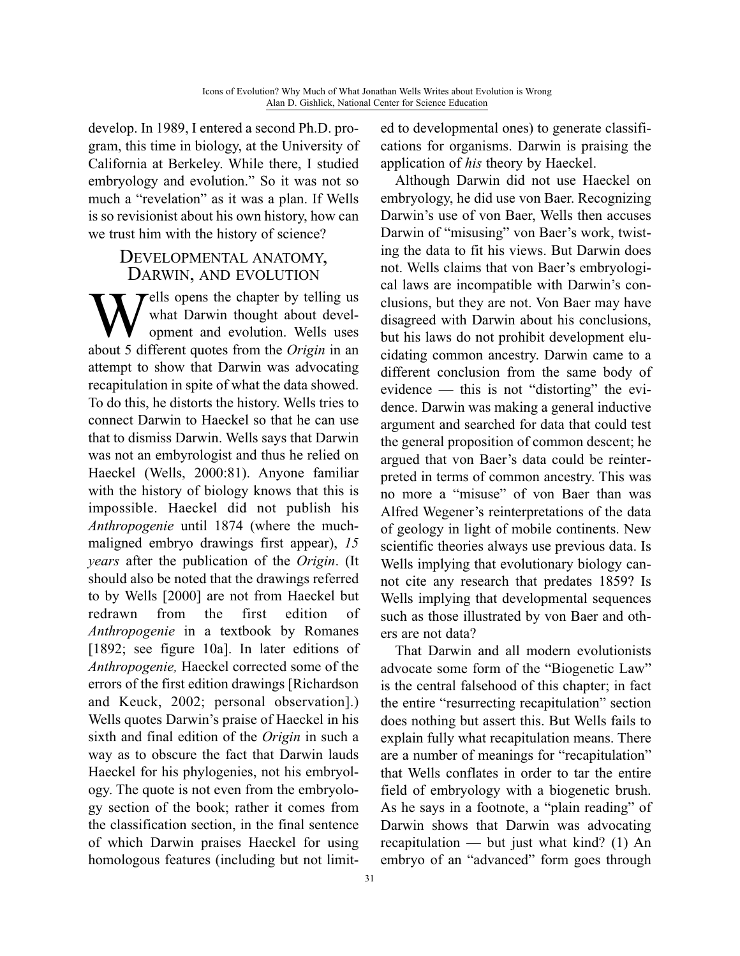develop. In 1989, I entered a second Ph.D. program, this time in biology, at the University of California at Berkeley. While there, I studied embryology and evolution." So it was not so much a "revelation" as it was a plan. If Wells is so revisionist about his own history, how can we trust him with the history of science?

# DEVELOPMENTAL ANATOMY, DARWIN, AND EVOLUTION

Wells opens the chapter by telling us<br>what Darwin thought about devel-<br>opment and evolution. Wells uses<br>about 5 different quotes from the Origin in an what Darwin thought about development and evolution. Wells uses about 5 different quotes from the *Origin* in an attempt to show that Darwin was advocating recapitulation in spite of what the data showed. To do this, he distorts the history. Wells tries to connect Darwin to Haeckel so that he can use that to dismiss Darwin. Wells says that Darwin was not an embyrologist and thus he relied on Haeckel (Wells, 2000:81). Anyone familiar with the history of biology knows that this is impossible. Haeckel did not publish his *Anthropogenie* until 1874 (where the muchmaligned embryo drawings first appear), *15 years* after the publication of the *Origin*. (It should also be noted that the drawings referred to by Wells [2000] are not from Haeckel but redrawn from the first edition of *Anthropogenie* in a textbook by Romanes [1892; see figure 10a]. In later editions of *Anthropogenie,* Haeckel corrected some of the errors of the first edition drawings [Richardson and Keuck, 2002; personal observation].) Wells quotes Darwin's praise of Haeckel in his sixth and final edition of the *Origin* in such a way as to obscure the fact that Darwin lauds Haeckel for his phylogenies, not his embryology. The quote is not even from the embryology section of the book; rather it comes from the classification section, in the final sentence of which Darwin praises Haeckel for using homologous features (including but not limited to developmental ones) to generate classifications for organisms. Darwin is praising the application of *his* theory by Haeckel.

Although Darwin did not use Haeckel on embryology, he did use von Baer. Recognizing Darwin's use of von Baer, Wells then accuses Darwin of "misusing" von Baer's work, twisting the data to fit his views. But Darwin does not. Wells claims that von Baer's embryological laws are incompatible with Darwin's conclusions, but they are not. Von Baer may have disagreed with Darwin about his conclusions, but his laws do not prohibit development elucidating common ancestry. Darwin came to a different conclusion from the same body of evidence — this is not "distorting" the evidence. Darwin was making a general inductive argument and searched for data that could test the general proposition of common descent; he argued that von Baer's data could be reinterpreted in terms of common ancestry. This was no more a "misuse" of von Baer than was Alfred Wegener's reinterpretations of the data of geology in light of mobile continents. New scientific theories always use previous data. Is Wells implying that evolutionary biology cannot cite any research that predates 1859? Is Wells implying that developmental sequences such as those illustrated by von Baer and others are not data?

That Darwin and all modern evolutionists advocate some form of the "Biogenetic Law" is the central falsehood of this chapter; in fact the entire "resurrecting recapitulation" section does nothing but assert this. But Wells fails to explain fully what recapitulation means. There are a number of meanings for "recapitulation" that Wells conflates in order to tar the entire field of embryology with a biogenetic brush. As he says in a footnote, a "plain reading" of Darwin shows that Darwin was advocating recapitulation — but just what kind? (1) An embryo of an "advanced" form goes through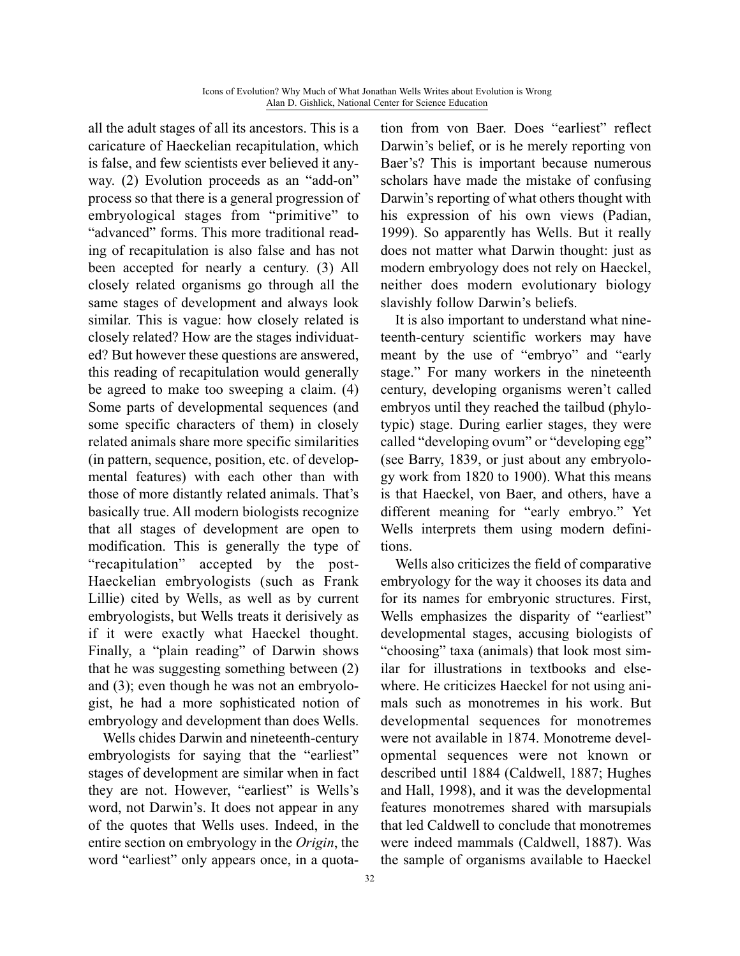all the adult stages of all its ancestors. This is a caricature of Haeckelian recapitulation, which is false, and few scientists ever believed it anyway. (2) Evolution proceeds as an "add-on" process so that there is a general progression of embryological stages from "primitive" to "advanced" forms. This more traditional reading of recapitulation is also false and has not been accepted for nearly a century. (3) All closely related organisms go through all the same stages of development and always look similar. This is vague: how closely related is closely related? How are the stages individuated? But however these questions are answered, this reading of recapitulation would generally be agreed to make too sweeping a claim. (4) Some parts of developmental sequences (and some specific characters of them) in closely related animals share more specific similarities (in pattern, sequence, position, etc. of developmental features) with each other than with those of more distantly related animals. That's basically true. All modern biologists recognize that all stages of development are open to modification. This is generally the type of "recapitulation" accepted by the post-Haeckelian embryologists (such as Frank Lillie) cited by Wells, as well as by current embryologists, but Wells treats it derisively as if it were exactly what Haeckel thought. Finally, a "plain reading" of Darwin shows that he was suggesting something between (2) and (3); even though he was not an embryologist, he had a more sophisticated notion of embryology and development than does Wells.

Wells chides Darwin and nineteenth-century embryologists for saying that the "earliest" stages of development are similar when in fact they are not. However, "earliest" is Wells's word, not Darwin's. It does not appear in any of the quotes that Wells uses. Indeed, in the entire section on embryology in the *Origin*, the word "earliest" only appears once, in a quotation from von Baer. Does "earliest" reflect Darwin's belief, or is he merely reporting von Baer's? This is important because numerous scholars have made the mistake of confusing Darwin's reporting of what others thought with his expression of his own views (Padian, 1999). So apparently has Wells. But it really does not matter what Darwin thought: just as modern embryology does not rely on Haeckel, neither does modern evolutionary biology slavishly follow Darwin's beliefs.

It is also important to understand what nineteenth-century scientific workers may have meant by the use of "embryo" and "early stage." For many workers in the nineteenth century, developing organisms weren't called embryos until they reached the tailbud (phylotypic) stage. During earlier stages, they were called "developing ovum" or "developing egg" (see Barry, 1839, or just about any embryology work from 1820 to 1900). What this means is that Haeckel, von Baer, and others, have a different meaning for "early embryo." Yet Wells interprets them using modern definitions.

Wells also criticizes the field of comparative embryology for the way it chooses its data and for its names for embryonic structures. First, Wells emphasizes the disparity of "earliest" developmental stages, accusing biologists of "choosing" taxa (animals) that look most similar for illustrations in textbooks and elsewhere. He criticizes Haeckel for not using animals such as monotremes in his work. But developmental sequences for monotremes were not available in 1874. Monotreme developmental sequences were not known or described until 1884 (Caldwell, 1887; Hughes and Hall, 1998), and it was the developmental features monotremes shared with marsupials that led Caldwell to conclude that monotremes were indeed mammals (Caldwell, 1887). Was the sample of organisms available to Haeckel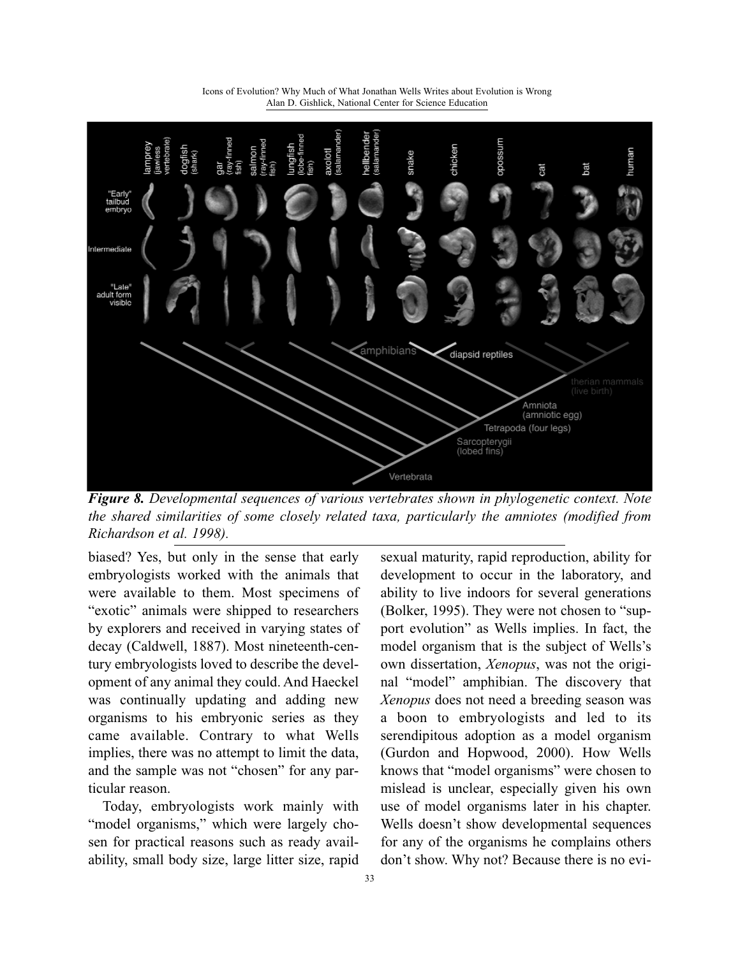

Icons of Evolution? Why Much of What Jonathan Wells Writes about Evolution is Wrong Alan D. Gishlick, National Center for Science Education

*Figure 8. Developmental sequences of various vertebrates shown in phylogenetic context. Note the shared similarities of some closely related taxa, particularly the amniotes (modified from Richardson et al. 1998).*

biased? Yes, but only in the sense that early embryologists worked with the animals that were available to them. Most specimens of "exotic" animals were shipped to researchers by explorers and received in varying states of decay (Caldwell, 1887). Most nineteenth-century embryologists loved to describe the development of any animal they could. And Haeckel was continually updating and adding new organisms to his embryonic series as they came available. Contrary to what Wells implies, there was no attempt to limit the data, and the sample was not "chosen" for any particular reason.

Today, embryologists work mainly with "model organisms," which were largely chosen for practical reasons such as ready availability, small body size, large litter size, rapid

sexual maturity, rapid reproduction, ability for development to occur in the laboratory, and ability to live indoors for several generations (Bolker, 1995). They were not chosen to "support evolution" as Wells implies. In fact, the model organism that is the subject of Wells's own dissertation, *Xenopus*, was not the original "model" amphibian. The discovery that *Xenopus* does not need a breeding season was a boon to embryologists and led to its serendipitous adoption as a model organism (Gurdon and Hopwood, 2000). How Wells knows that "model organisms" were chosen to mislead is unclear, especially given his own use of model organisms later in his chapter. Wells doesn't show developmental sequences for any of the organisms he complains others don't show. Why not? Because there is no evi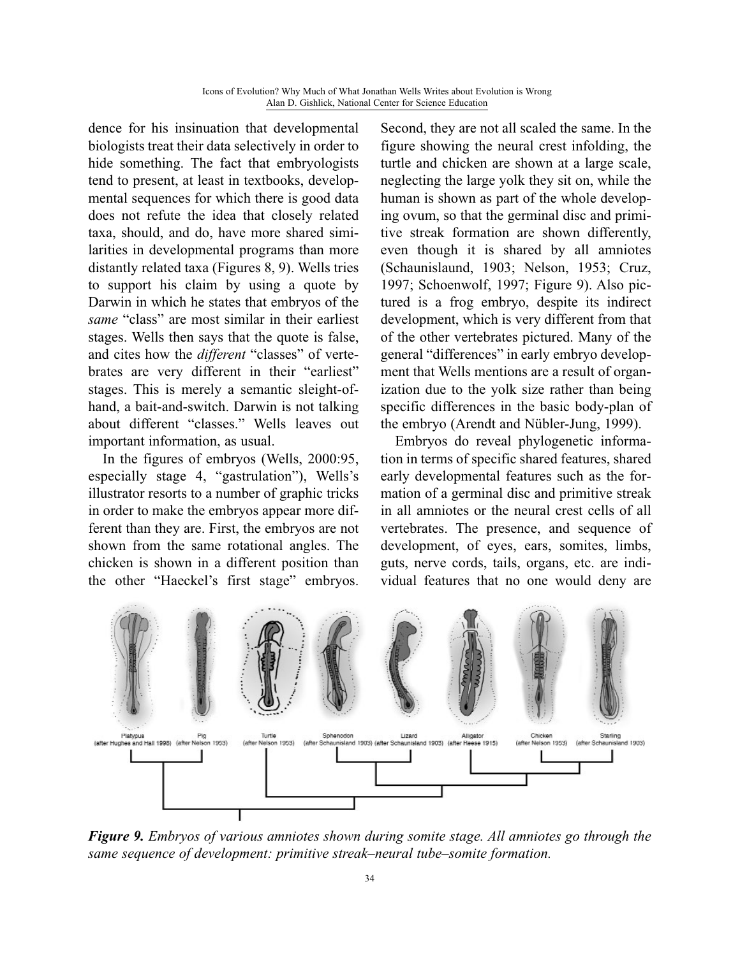dence for his insinuation that developmental biologists treat their data selectively in order to hide something. The fact that embryologists tend to present, at least in textbooks, developmental sequences for which there is good data does not refute the idea that closely related taxa, should, and do, have more shared similarities in developmental programs than more distantly related taxa (Figures 8, 9). Wells tries to support his claim by using a quote by Darwin in which he states that embryos of the *same* "class" are most similar in their earliest stages. Wells then says that the quote is false, and cites how the *different* "classes" of vertebrates are very different in their "earliest" stages. This is merely a semantic sleight-ofhand, a bait-and-switch. Darwin is not talking about different "classes." Wells leaves out important information, as usual.

In the figures of embryos (Wells, 2000:95, especially stage 4, "gastrulation"), Wells's illustrator resorts to a number of graphic tricks in order to make the embryos appear more different than they are. First, the embryos are not shown from the same rotational angles. The chicken is shown in a different position than the other "Haeckel's first stage" embryos.

Second, they are not all scaled the same. In the figure showing the neural crest infolding, the turtle and chicken are shown at a large scale, neglecting the large yolk they sit on, while the human is shown as part of the whole developing ovum, so that the germinal disc and primitive streak formation are shown differently, even though it is shared by all amniotes (Schaunislaund, 1903; Nelson, 1953; Cruz, 1997; Schoenwolf, 1997; Figure 9). Also pictured is a frog embryo, despite its indirect development, which is very different from that of the other vertebrates pictured. Many of the general "differences" in early embryo development that Wells mentions are a result of organization due to the yolk size rather than being specific differences in the basic body-plan of the embryo (Arendt and Nübler-Jung, 1999).

Embryos do reveal phylogenetic information in terms of specific shared features, shared early developmental features such as the formation of a germinal disc and primitive streak in all amniotes or the neural crest cells of all vertebrates. The presence, and sequence of development, of eyes, ears, somites, limbs, guts, nerve cords, tails, organs, etc. are individual features that no one would deny are



*Figure 9. Embryos of various amniotes shown during somite stage. All amniotes go through the same sequence of development: primitive streak–neural tube–somite formation.*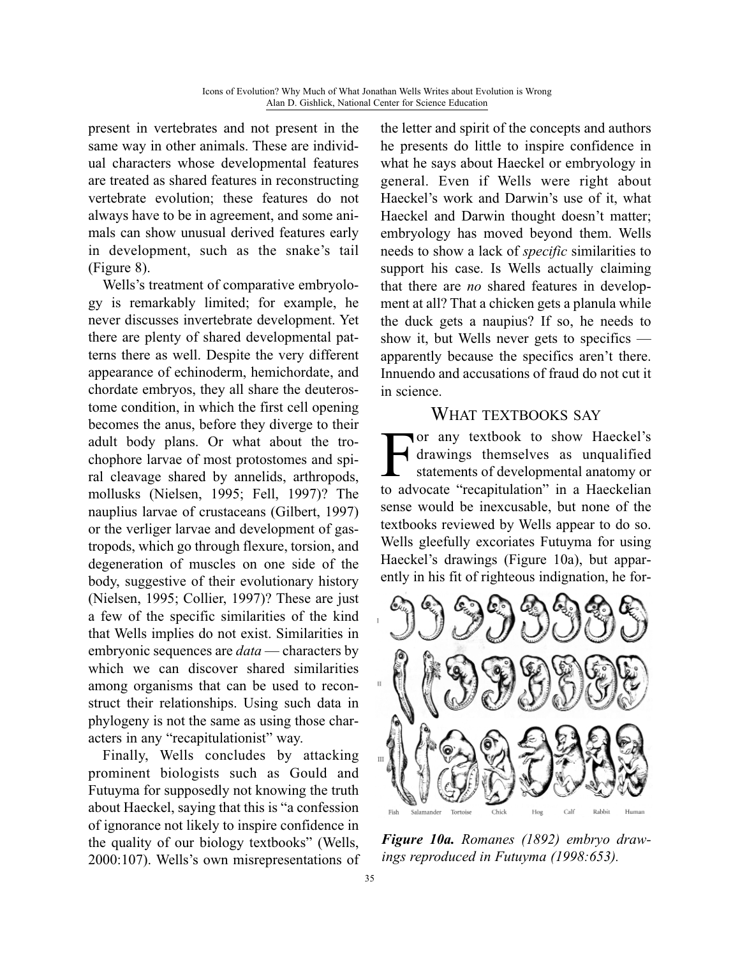present in vertebrates and not present in the same way in other animals. These are individual characters whose developmental features are treated as shared features in reconstructing vertebrate evolution; these features do not always have to be in agreement, and some animals can show unusual derived features early in development, such as the snake's tail (Figure 8).

Wells's treatment of comparative embryology is remarkably limited; for example, he never discusses invertebrate development. Yet there are plenty of shared developmental patterns there as well. Despite the very different appearance of echinoderm, hemichordate, and chordate embryos, they all share the deuterostome condition, in which the first cell opening becomes the anus, before they diverge to their adult body plans. Or what about the trochophore larvae of most protostomes and spiral cleavage shared by annelids, arthropods, mollusks (Nielsen, 1995; Fell, 1997)? The nauplius larvae of crustaceans (Gilbert, 1997) or the verliger larvae and development of gastropods, which go through flexure, torsion, and degeneration of muscles on one side of the body, suggestive of their evolutionary history (Nielsen, 1995; Collier, 1997)? These are just a few of the specific similarities of the kind that Wells implies do not exist. Similarities in embryonic sequences are *data* — characters by which we can discover shared similarities among organisms that can be used to reconstruct their relationships. Using such data in phylogeny is not the same as using those characters in any "recapitulationist" way.

Finally, Wells concludes by attacking prominent biologists such as Gould and Futuyma for supposedly not knowing the truth about Haeckel, saying that this is "a confession of ignorance not likely to inspire confidence in the quality of our biology textbooks" (Wells, 2000:107). Wells's own misrepresentations of the letter and spirit of the concepts and authors he presents do little to inspire confidence in what he says about Haeckel or embryology in general. Even if Wells were right about Haeckel's work and Darwin's use of it, what Haeckel and Darwin thought doesn't matter; embryology has moved beyond them. Wells needs to show a lack of *specific* similarities to support his case. Is Wells actually claiming that there are *no* shared features in development at all? That a chicken gets a planula while the duck gets a naupius? If so, he needs to show it, but Wells never gets to specifics apparently because the specifics aren't there. Innuendo and accusations of fraud do not cut it in science.

#### WHAT TEXTBOOKS SAY

For any textbook to show Haeckel's<br>drawings themselves as unqualified<br>statements of developmental anatomy or<br>to advocate "recapitulation" in a Haeckelian drawings themselves as unqualified statements of developmental anatomy or to advocate "recapitulation" in a Haeckelian sense would be inexcusable, but none of the textbooks reviewed by Wells appear to do so. Wells gleefully excoriates Futuyma for using Haeckel's drawings (Figure 10a), but apparently in his fit of righteous indignation, he for-



*Figure 10a. Romanes (1892) embryo drawings reproduced in Futuyma (1998:653).*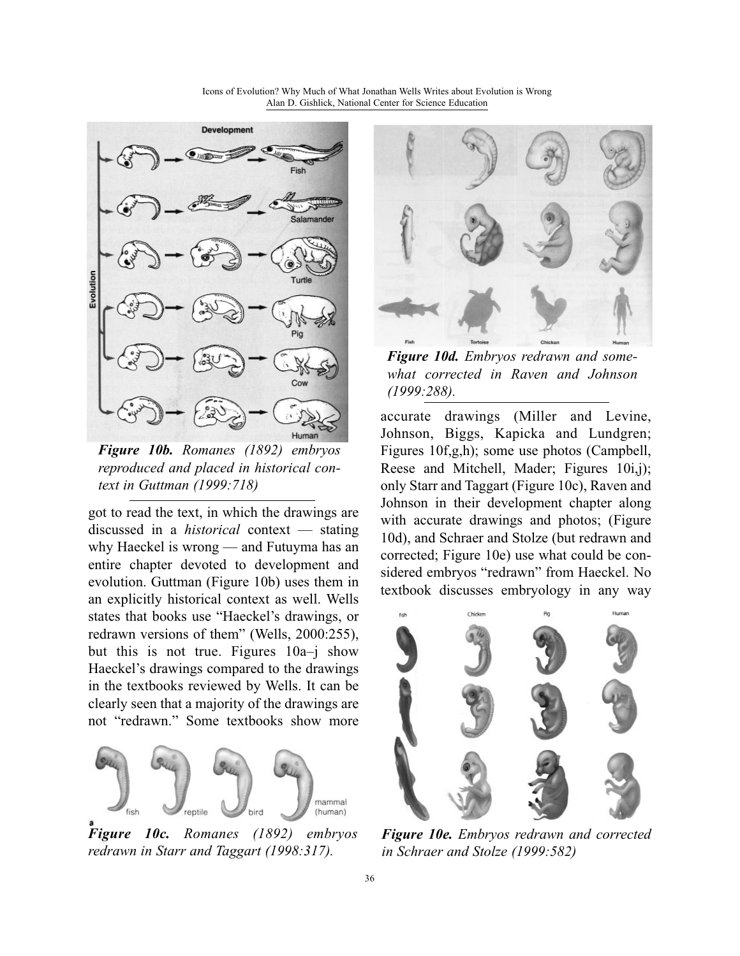Icons of Evolution? Why Much of What Jonathan Wells Writes about Evolution is Wrong Alan D. Gishlick, National Center for Science Education



*Figure 10b. Romanes (1892) embryos reproduced and placed in historical context in Guttman (1999:718)*

got to read the text, in which the drawings are discussed in a *historical* context — stating why Haeckel is wrong — and Futuyma has an entire chapter devoted to development and evolution. Guttman (Figure 10b) uses them in an explicitly historical context as well. Wells states that books use "Haeckel's drawings, or redrawn versions of them" (Wells, 2000:255), but this is not true. Figures 10a–j show Haeckel's drawings compared to the drawings in the textbooks reviewed by Wells. It can be clearly seen that a majority of the drawings are not "redrawn." Some textbooks show more



*Figure 10c. Romanes (1892) embryos redrawn in Starr and Taggart (1998:317).*



*Figure 10d. Embryos redrawn and somewhat corrected in Raven and Johnson (1999:288).*

accurate drawings (Miller and Levine, Johnson, Biggs, Kapicka and Lundgren; Figures 10f,g,h); some use photos (Campbell, Reese and Mitchell, Mader; Figures 10i,j); only Starr and Taggart (Figure 10c), Raven and Johnson in their development chapter along with accurate drawings and photos; (Figure 10d), and Schraer and Stolze (but redrawn and corrected; Figure 10e) use what could be considered embryos "redrawn" from Haeckel. No textbook discusses embryology in any way



*Figure 10e. Embryos redrawn and corrected in Schraer and Stolze (1999:582)*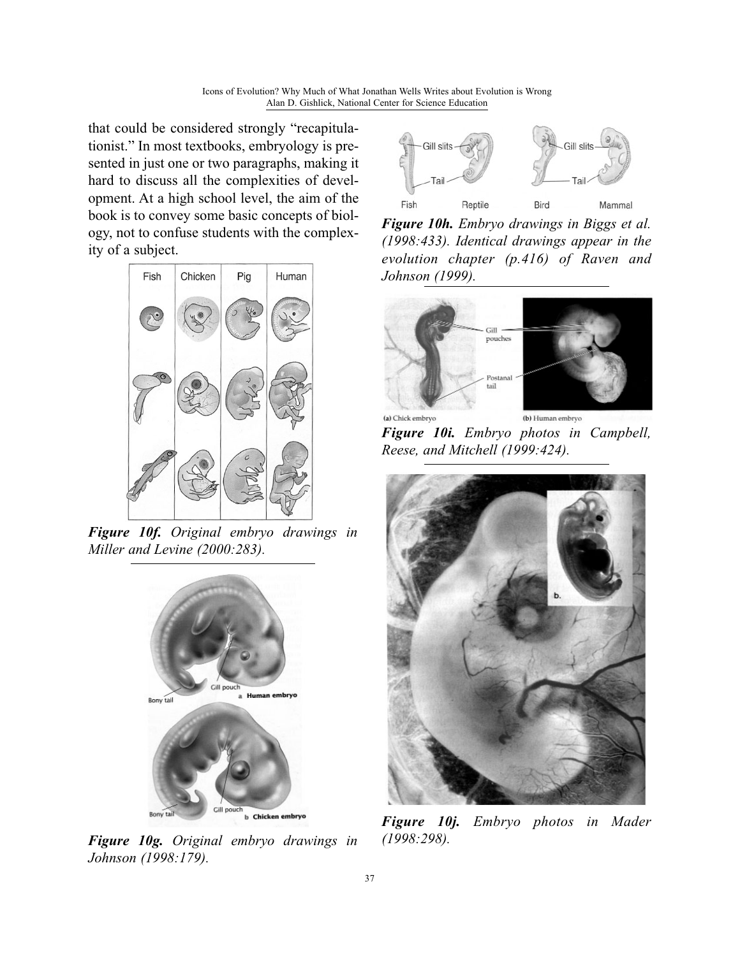that could be considered strongly "recapitulationist." In most textbooks, embryology is presented in just one or two paragraphs, making it hard to discuss all the complexities of development. At a high school level, the aim of the book is to convey some basic concepts of biology, not to confuse students with the complexity of a subject.



*Figure 10f. Original embryo drawings in Miller and Levine (2000:283).*



*Figure 10g. Original embryo drawings in Johnson (1998:179).*



*Figure 10h. Embryo drawings in Biggs et al. (1998:433). Identical drawings appear in the evolution chapter (p.416) of Raven and Johnson (1999).*



*Figure 10i. Embryo photos in Campbell, Reese, and Mitchell (1999:424).*



*Figure 10j. Embryo photos in Mader (1998:298).*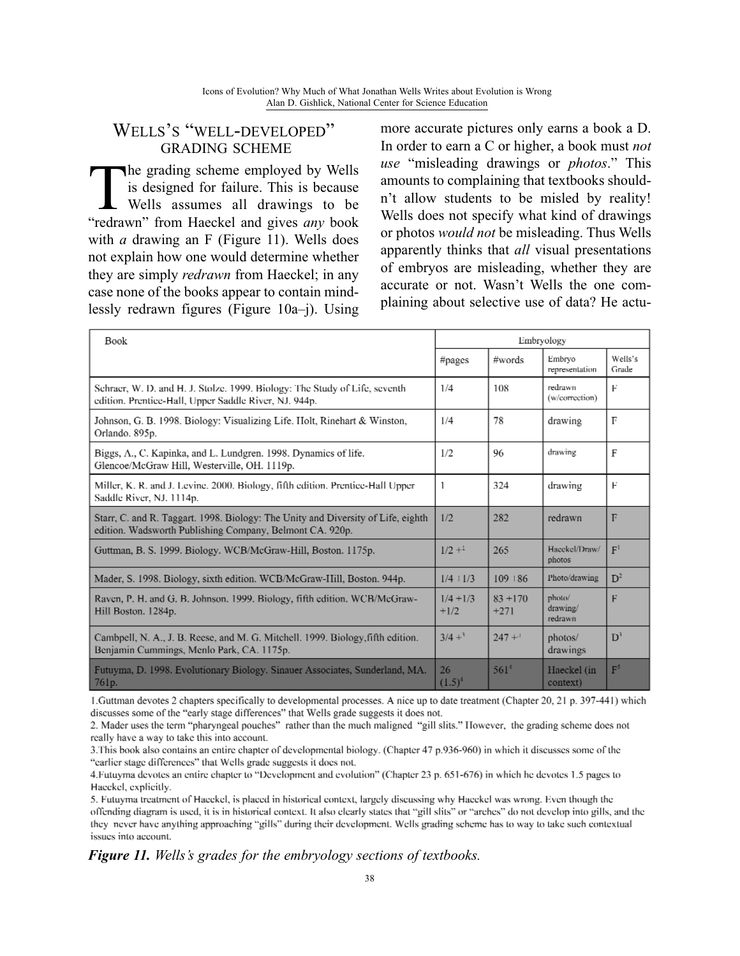#### WELLS'S "WELL-DEVELOPED" GRADING SCHEME

The grading scheme employed by Wells<br>is designed for failure. This is because<br>Wells assumes all drawings to be<br>"redrawn" from Haeckel and gives any book is designed for failure. This is because Wells assumes all drawings to be "redrawn" from Haeckel and gives *any* book with *a* drawing an F (Figure 11). Wells does not explain how one would determine whether they are simply *redrawn* from Haeckel; in any case none of the books appear to contain mindlessly redrawn figures (Figure 10a–j). Using more accurate pictures only earns a book a D. In order to earn a C or higher, a book must *not use* "misleading drawings or *photos*." This amounts to complaining that textbooks shouldn't allow students to be misled by reality! Wells does not specify what kind of drawings or photos *would not* be misleading. Thus Wells apparently thinks that *all* visual presentations of embryos are misleading, whether they are accurate or not. Wasn't Wells the one complaining about selective use of data? He actu-

| Book                                                                                                                                         | Embryology            |                      |                               |                  |
|----------------------------------------------------------------------------------------------------------------------------------------------|-----------------------|----------------------|-------------------------------|------------------|
|                                                                                                                                              | #pages                | #words               | Embryo<br>representation      | Wells's<br>Grade |
| Schraer, W. D. and H. J. Stolze. 1999. Biology: The Study of Life, seventh<br>edition. Prentice-Hall, Upper Saddle River, NJ. 944p.          | 1/4                   | 108                  | redrawn<br>(w/correction)     | Е                |
| Johnson, G. B. 1998. Biology: Visualizing Life. Holt, Rinehart & Winston,<br>Orlando. 895p.                                                  | 1/4                   | 78                   | drawing                       | $\mathbb{F}$     |
| Biggs, A., C. Kapinka, and L. Lundgren. 1998. Dynamics of life.<br>Glencoe/McGraw Hill, Westerville, OH. 1119p.                              | 1/2                   | 96                   | drawing                       | F                |
| Miller, K. R. and J. Levine. 2000. Biology, fifth edition. Prentice-Hall Upper<br>Saddle River, NJ. 1114p.                                   | 1                     | 324                  | drawing                       | F                |
| Starr, C. and R. Taggart. 1998. Biology: The Unity and Diversity of Life, eighth<br>edition. Wadsworth Publishing Company, Belmont CA. 920p. | 1/2                   | 282                  | redrawn                       | $\mathbb{F}$     |
| Guttman, B. S. 1999. Biology. WCB/McGraw-Hill, Boston. 1175p.                                                                                | $1/2 +1$              | 265                  | Hacekel/Draw/<br>photos       | F <sup>1</sup>   |
| Mader, S. 1998. Biology, sixth edition. WCB/McGraw-IIill, Boston. 944p.                                                                      | $1/4 + 1/3$           | $109 + 86$           | Photo/drawing                 | D <sup>2</sup>   |
| Raven, P. H. and G. B. Johnson, 1999. Biology, fifth edition. WCB/McGraw-<br>Hill Boston. 1284p.                                             | $1/4 + 1/3$<br>$+1/2$ | $83 + 170$<br>$+271$ | photo/<br>drawing/<br>redrawn | F                |
| Cambpell, N. A., J. B. Reese, and M. G. Mitchell. 1999. Biology, fifth edition.<br>Benjamin Cummings, Menlo Park, CA. 1175p.                 | $3/4 +$ <sup>3</sup>  | $247 +$ <sup>3</sup> | photos/<br>drawings           | $\mathbf{D}^3$   |
| Futuyma, D. 1998. Evolutionary Biology. Sinauer Associates, Sunderland, MA.<br>761p.                                                         | 26<br>$(1.5)^4$       | $561^{4}$            | Haeckel (in<br>context)       | F <sup>5</sup>   |

1. Guttman devotes 2 chapters specifically to developmental processes. A nice up to date treatment (Chapter 20, 21 p. 397-441) which discusses some of the "early stage differences" that Wells grade suggests it does not.

2. Mader uses the term "pharyngeal pouches" rather than the much maligned "gill slits." However, the grading scheme does not really have a way to take this into account.

3. This book also contains an entire chapter of developmental biology. (Chapter 47 p.936-960) in which it discusses some of the "earlier stage differences" that Wells grade suggests it does not.

4. Futuyma devotes an entire chapter to "Development and evolution" (Chapter 23 p. 651-676) in which he devotes 1.5 pages to Hacekel, explicitly.

5. Futuyma treatment of Haeckel, is placed in historical context, largely discussing why Haeckel was wrong. Even though the offending diagram is used, it is in historical context. It also clearly states that "gill slits" or "arches" do not develop into gills, and the they never have anything approaching "gills" during their development. Wells grading scheme has to way to take such contextual issues into account.

#### *Figure 11. Wells's grades for the embryology sections of textbooks.*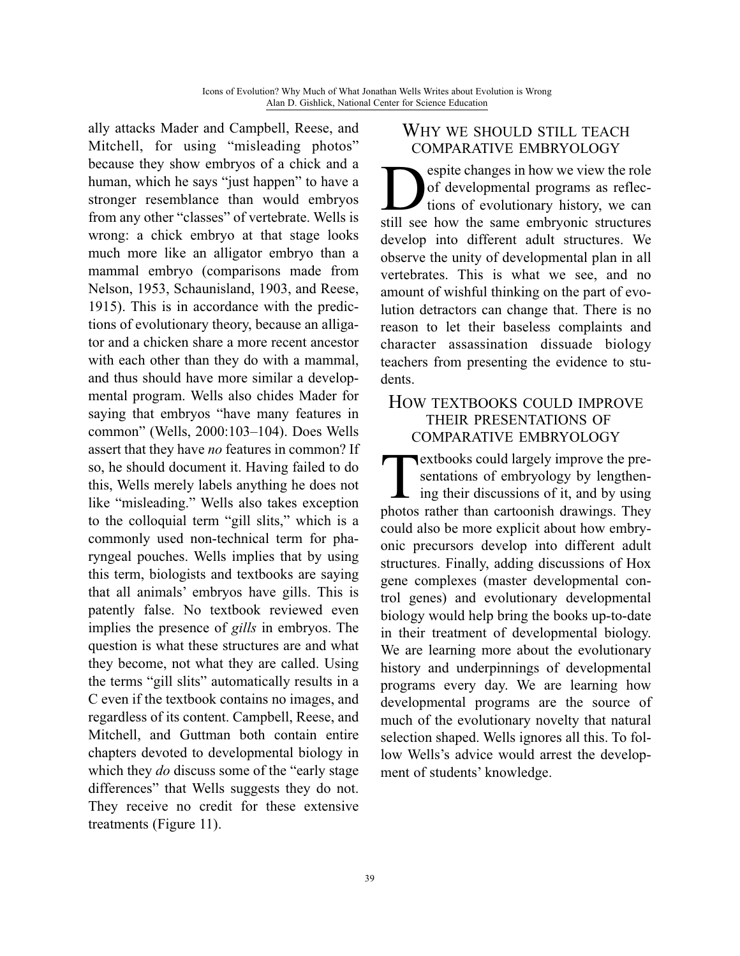ally attacks Mader and Campbell, Reese, and Mitchell, for using "misleading photos" because they show embryos of a chick and a human, which he says "just happen" to have a stronger resemblance than would embryos from any other "classes" of vertebrate. Wells is wrong: a chick embryo at that stage looks much more like an alligator embryo than a mammal embryo (comparisons made from Nelson, 1953, Schaunisland, 1903, and Reese, 1915). This is in accordance with the predictions of evolutionary theory, because an alligator and a chicken share a more recent ancestor with each other than they do with a mammal, and thus should have more similar a developmental program. Wells also chides Mader for saying that embryos "have many features in common" (Wells, 2000:103–104). Does Wells assert that they have *no* features in common? If so, he should document it. Having failed to do this, Wells merely labels anything he does not like "misleading." Wells also takes exception to the colloquial term "gill slits," which is a commonly used non-technical term for pharyngeal pouches. Wells implies that by using this term, biologists and textbooks are saying that all animals' embryos have gills. This is patently false. No textbook reviewed even implies the presence of *gills* in embryos. The question is what these structures are and what they become, not what they are called. Using the terms "gill slits" automatically results in a C even if the textbook contains no images, and regardless of its content. Campbell, Reese, and Mitchell, and Guttman both contain entire chapters devoted to developmental biology in which they *do* discuss some of the "early stage differences" that Wells suggests they do not. They receive no credit for these extensive treatments (Figure 11).

#### WHY WE SHOULD STILL TEACH COMPARATIVE EMBRYOLOGY

Solutions of evolutionary history, we can still see how the same embryonic structures of developmental programs as reflections of evolutionary history, we can still see how the same embryonic structures develop into different adult structures. We observe the unity of developmental plan in all vertebrates. This is what we see, and no amount of wishful thinking on the part of evolution detractors can change that. There is no reason to let their baseless complaints and character assassination dissuade biology teachers from presenting the evidence to students.

#### HOW TEXTBOOKS COULD IMPROVE THEIR PRESENTATIONS OF COMPARATIVE EMBRYOLOGY

**Textbooks could largely improve the presentations of embryology by lengthen-**<br>ing their discussions of it, and by using<br>photos rather than cartoonish drawings. They sentations of embryology by lengthening their discussions of it, and by using photos rather than cartoonish drawings. They could also be more explicit about how embryonic precursors develop into different adult structures. Finally, adding discussions of Hox gene complexes (master developmental control genes) and evolutionary developmental biology would help bring the books up-to-date in their treatment of developmental biology. We are learning more about the evolutionary history and underpinnings of developmental programs every day. We are learning how developmental programs are the source of much of the evolutionary novelty that natural selection shaped. Wells ignores all this. To follow Wells's advice would arrest the development of students' knowledge.